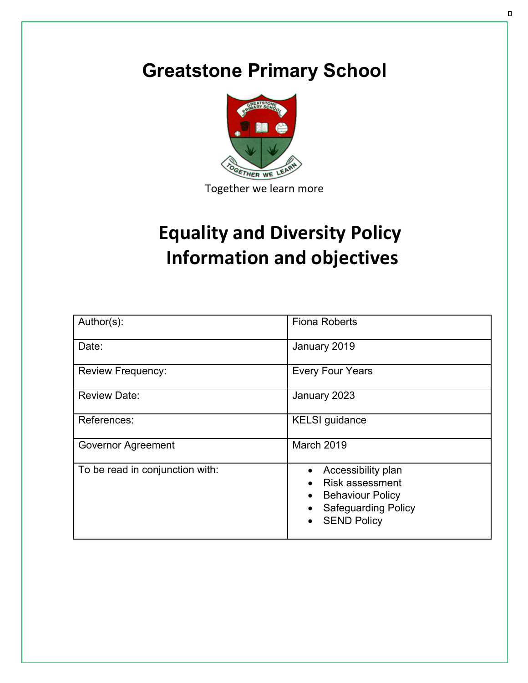# **Greatstone Primary School**



# **Equality and Diversity Policy Information and objectives**

| Author(s):                      | <b>Fiona Roberts</b>                                                                                                                                  |
|---------------------------------|-------------------------------------------------------------------------------------------------------------------------------------------------------|
| Date:                           | January 2019                                                                                                                                          |
| <b>Review Frequency:</b>        | <b>Every Four Years</b>                                                                                                                               |
| <b>Review Date:</b>             | January 2023                                                                                                                                          |
| References:                     | <b>KELSI</b> guidance                                                                                                                                 |
| <b>Governor Agreement</b>       | March 2019                                                                                                                                            |
| To be read in conjunction with: | Accessibility plan<br>$\bullet$<br><b>Risk assessment</b><br><b>Behaviour Policy</b><br>$\bullet$<br><b>Safeguarding Policy</b><br><b>SEND Policy</b> |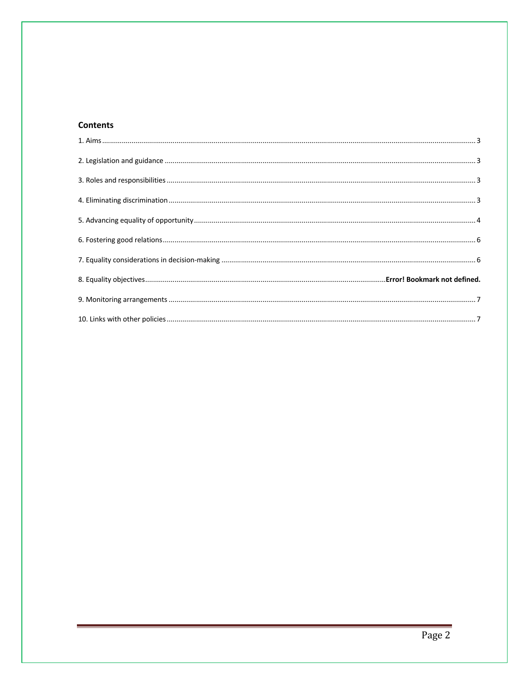# **Contents**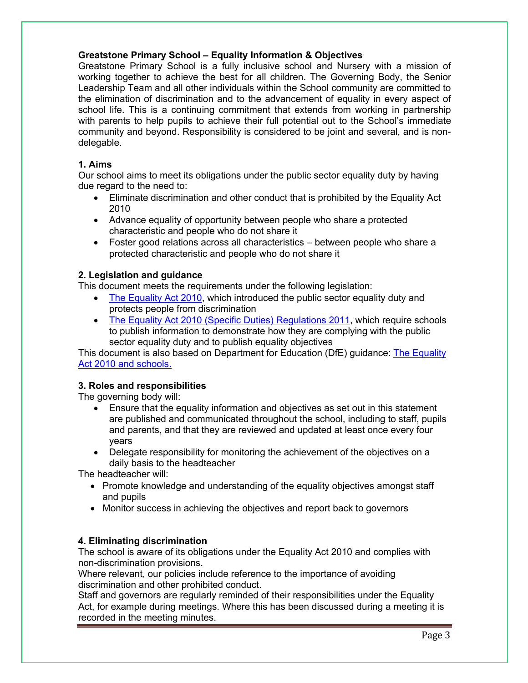## **Greatstone Primary School – Equality Information & Objectives**

Greatstone Primary School is a fully inclusive school and Nursery with a mission of working together to achieve the best for all children. The Governing Body, the Senior Leadership Team and all other individuals within the School community are committed to the elimination of discrimination and to the advancement of equality in every aspect of school life. This is a continuing commitment that extends from working in partnership with parents to help pupils to achieve their full potential out to the School's immediate community and beyond. Responsibility is considered to be joint and several, and is nondelegable.

### **1. Aims**

Our school aims to meet its obligations under the public sector equality duty by having due regard to the need to:

- Eliminate discrimination and other conduct that is prohibited by the Equality Act 2010
- Advance equality of opportunity between people who share a protected characteristic and people who do not share it
- Foster good relations across all characteristics between people who share a protected characteristic and people who do not share it

### **2. Legislation and guidance**

This document meets the requirements under the following legislation:

- The Equality Act 2010, which introduced the public sector equality duty and protects people from discrimination
- The Equality Act 2010 (Specific Duties) Regulations 2011, which require schools to publish information to demonstrate how they are complying with the public sector equality duty and to publish equality objectives

This document is also based on Department for Education (DfE) guidance: The Equality Act 2010 and schools.

### **3. Roles and responsibilities**

The governing body will:

- Ensure that the equality information and objectives as set out in this statement are published and communicated throughout the school, including to staff, pupils and parents, and that they are reviewed and updated at least once every four years
- Delegate responsibility for monitoring the achievement of the objectives on a daily basis to the headteacher

The headteacher will:

- Promote knowledge and understanding of the equality objectives amongst staff and pupils
- Monitor success in achieving the objectives and report back to governors

### **4. Eliminating discrimination**

The school is aware of its obligations under the Equality Act 2010 and complies with non-discrimination provisions.

Where relevant, our policies include reference to the importance of avoiding discrimination and other prohibited conduct.

Staff and governors are regularly reminded of their responsibilities under the Equality Act, for example during meetings. Where this has been discussed during a meeting it is recorded in the meeting minutes.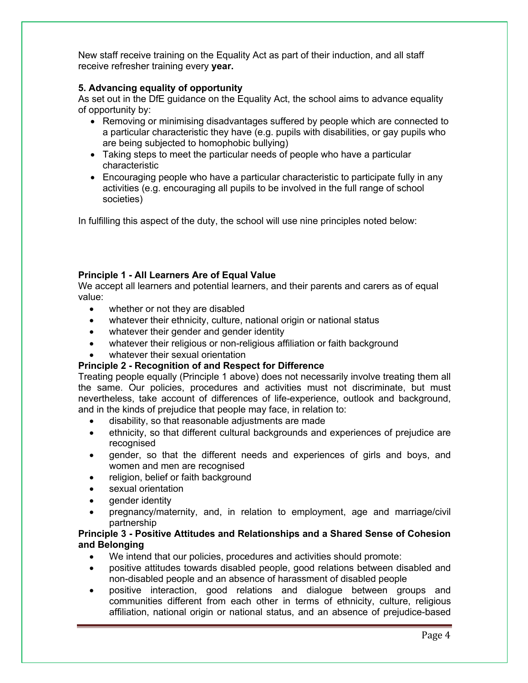New staff receive training on the Equality Act as part of their induction, and all staff receive refresher training every **year.**

### **5. Advancing equality of opportunity**

As set out in the DfE guidance on the Equality Act, the school aims to advance equality of opportunity by:

- Removing or minimising disadvantages suffered by people which are connected to a particular characteristic they have (e.g. pupils with disabilities, or gay pupils who are being subjected to homophobic bullying)
- Taking steps to meet the particular needs of people who have a particular characteristic
- Encouraging people who have a particular characteristic to participate fully in any activities (e.g. encouraging all pupils to be involved in the full range of school societies)

In fulfilling this aspect of the duty, the school will use nine principles noted below:

#### **Principle 1 - All Learners Are of Equal Value**

We accept all learners and potential learners, and their parents and carers as of equal value:

- whether or not they are disabled
- whatever their ethnicity, culture, national origin or national status
- whatever their gender and gender identity
- whatever their religious or non-religious affiliation or faith background
- whatever their sexual orientation

### **Principle 2 - Recognition of and Respect for Difference**

Treating people equally (Principle 1 above) does not necessarily involve treating them all the same. Our policies, procedures and activities must not discriminate, but must nevertheless, take account of differences of life-experience, outlook and background, and in the kinds of prejudice that people may face, in relation to:

- disability, so that reasonable adjustments are made
- ethnicity, so that different cultural backgrounds and experiences of prejudice are recognised
- gender, so that the different needs and experiences of girls and boys, and women and men are recognised
- religion, belief or faith background
- sexual orientation
- aender identity
- pregnancy/maternity, and, in relation to employment, age and marriage/civil partnership

#### **Principle 3 - Positive Attitudes and Relationships and a Shared Sense of Cohesion and Belonging**

- We intend that our policies, procedures and activities should promote:
- positive attitudes towards disabled people, good relations between disabled and non-disabled people and an absence of harassment of disabled people
- positive interaction, good relations and dialogue between groups and communities different from each other in terms of ethnicity, culture, religious affiliation, national origin or national status, and an absence of prejudice-based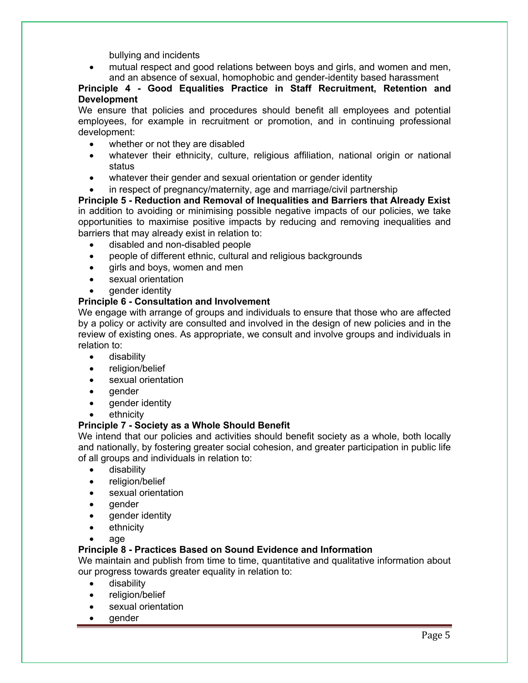bullying and incidents

• mutual respect and good relations between boys and girls, and women and men, and an absence of sexual, homophobic and gender-identity based harassment

**Principle 4 - Good Equalities Practice in Staff Recruitment, Retention and Development**

We ensure that policies and procedures should benefit all employees and potential employees, for example in recruitment or promotion, and in continuing professional development:

- whether or not they are disabled
- whatever their ethnicity, culture, religious affiliation, national origin or national status
- whatever their gender and sexual orientation or gender identity
- in respect of pregnancy/maternity, age and marriage/civil partnership

**Principle 5 - Reduction and Removal of Inequalities and Barriers that Already Exist** in addition to avoiding or minimising possible negative impacts of our policies, we take opportunities to maximise positive impacts by reducing and removing inequalities and barriers that may already exist in relation to:

- disabled and non-disabled people
- people of different ethnic, cultural and religious backgrounds
- girls and boys, women and men
- sexual orientation
- gender identity

# **Principle 6 - Consultation and Involvement**

We engage with arrange of groups and individuals to ensure that those who are affected by a policy or activity are consulted and involved in the design of new policies and in the review of existing ones. As appropriate, we consult and involve groups and individuals in relation to:

- disability
- religion/belief
- sexual orientation
- gender
- gender identity
- **ethnicity**

### **Principle 7 - Society as a Whole Should Benefit**

We intend that our policies and activities should benefit society as a whole, both locally and nationally, by fostering greater social cohesion, and greater participation in public life of all groups and individuals in relation to:

- disability
- religion/belief
- sexual orientation
- gender
- gender identity
- ethnicity
- age

### **Principle 8 - Practices Based on Sound Evidence and Information**

We maintain and publish from time to time, quantitative and qualitative information about our progress towards greater equality in relation to:

- disability
- religion/belief
- sexual orientation
- gender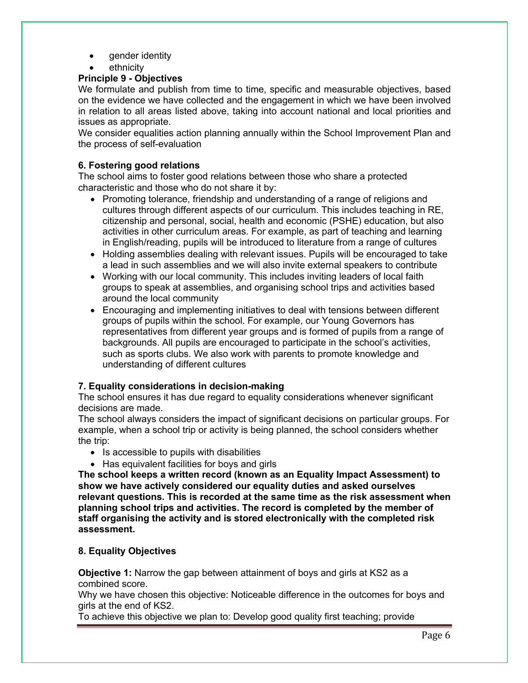- gender identity
- ethnicity

# **Principle 9 - Objectives**

We formulate and publish from time to time, specific and measurable objectives, based on the evidence we have collected and the engagement in which we have been involved in relation to all areas listed above, taking into account national and local priorities and issues as appropriate.

We consider equalities action planning annually within the School Improvement Plan and the process of self-evaluation

# **6. Fostering good relations**

The school aims to foster good relations between those who share a protected characteristic and those who do not share it by:

- Promoting tolerance, friendship and understanding of a range of religions and cultures through different aspects of our curriculum. This includes teaching in RE, citizenship and personal, social, health and economic (PSHE) education, but also activities in other curriculum areas. For example, as part of teaching and learning in English/reading, pupils will be introduced to literature from a range of cultures
- Holding assemblies dealing with relevant issues. Pupils will be encouraged to take a lead in such assemblies and we will also invite external speakers to contribute
- Working with our local community. This includes inviting leaders of local faith groups to speak at assemblies, and organising school trips and activities based around the local community
- Encouraging and implementing initiatives to deal with tensions between different groups of pupils within the school. For example, our Young Governors has representatives from different year groups and is formed of pupils from a range of backgrounds. All pupils are encouraged to participate in the school's activities, such as sports clubs. We also work with parents to promote knowledge and understanding of different cultures

# **7. Equality considerations in decision-making**

The school ensures it has due regard to equality considerations whenever significant decisions are made.

The school always considers the impact of significant decisions on particular groups. For example, when a school trip or activity is being planned, the school considers whether the trip:

- Is accessible to pupils with disabilities
- Has equivalent facilities for boys and girls

**The school keeps a written record (known as an Equality Impact Assessment) to show we have actively considered our equality duties and asked ourselves relevant questions. This is recorded at the same time as the risk assessment when planning school trips and activities. The record is completed by the member of staff organising the activity and is stored electronically with the completed risk assessment.** 

# **8. Equality Objectives**

**Objective 1:** Narrow the gap between attainment of boys and girls at KS2 as a combined score.

Why we have chosen this objective: Noticeable difference in the outcomes for boys and girls at the end of KS2.

To achieve this objective we plan to: Develop good quality first teaching; provide